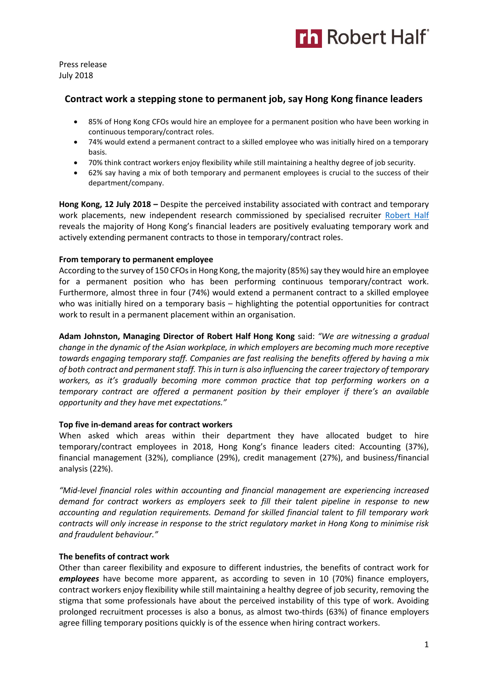

Press release July 2018

# **Contract work a stepping stone to permanent job, say Hong Kong finance leaders**

- 85% of Hong Kong CFOs would hire an employee for a permanent position who have been working in continuous temporary/contract roles.
- 74% would extend a permanent contract to a skilled employee who was initially hired on a temporary basis.
- 70% think contract workers enjoy flexibility while still maintaining a healthy degree of job security.
- 62% say having a mix of both temporary and permanent employees is crucial to the success of their department/company.

**Hong Kong, 12 July 2018 –** Despite the perceived instability associated with contract and temporary work placements, new independent research commissioned by specialised recruiter [Robert Half](https://www.roberthalf.com.hk/?utm_source=roberthalf&utm_medium=pressrelease&utm_campaign=rh-all-nonspecific-ongoing) reveals the majority of Hong Kong's financial leaders are positively evaluating temporary work and actively extending permanent contracts to those in temporary/contract roles.

## **From temporary to permanent employee**

According to the survey of 150 CFOs in Hong Kong, the majority (85%) say they would hire an employee for a permanent position who has been performing continuous temporary/contract work. Furthermore, almost three in four (74%) would extend a permanent contract to a skilled employee who was initially hired on a temporary basis – highlighting the potential opportunities for contract work to result in a permanent placement within an organisation.

**Adam Johnston, Managing Director of Robert Half Hong Kong** said: *"We are witnessing a gradual change in the dynamic of the Asian workplace, in which employers are becoming much more receptive towards engaging temporary staff. Companies are fast realising the benefits offered by having a mix of both contract and permanent staff. This in turn is also influencing the career trajectory of temporary workers, as it's gradually becoming more common practice that top performing workers on a temporary contract are offered a permanent position by their employer if there's an available opportunity and they have met expectations."*

## **Top five in-demand areas for contract workers**

When asked which areas within their department they have allocated budget to hire temporary/contract employees in 2018, Hong Kong's finance leaders cited: Accounting (37%), financial management (32%), compliance (29%), credit management (27%), and business/financial analysis (22%).

*"Mid-level financial roles within accounting and financial management are experiencing increased demand for contract workers as employers seek to fill their talent pipeline in response to new accounting and regulation requirements. Demand for skilled financial talent to fill temporary work contracts will only increase in response to the strict regulatory market in Hong Kong to minimise risk and fraudulent behaviour."*

## **The benefits of contract work**

Other than career flexibility and exposure to different industries, the benefits of contract work for *employees* have become more apparent, as according to seven in 10 (70%) finance employers, contract workers enjoy flexibility while still maintaining a healthy degree of job security, removing the stigma that some professionals have about the perceived instability of this type of work. Avoiding prolonged recruitment processes is also a bonus, as almost two-thirds (63%) of finance employers agree filling temporary positions quickly is of the essence when hiring contract workers.